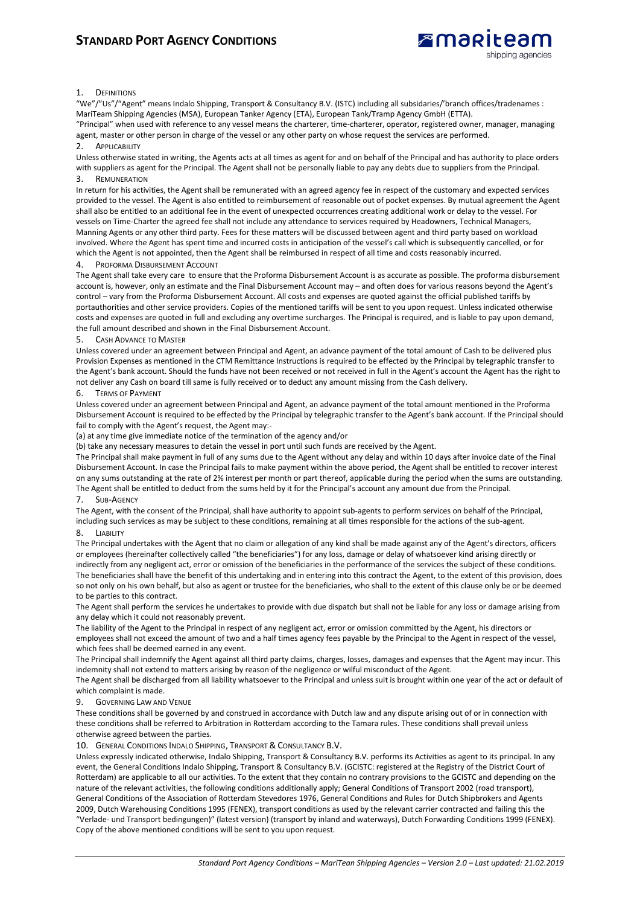# **STANDARD PORT AGENCY CONDITIONS**



### 1. DEFINITIONS

"We"/"Us"/"Agent" means Indalo Shipping, Transport & Consultancy B.V. (ISTC) including all subsidaries/'branch offices/tradenames : MariTeam Shipping Agencies (MSA), European Tanker Agency (ETA), European Tank/Tramp Agency GmbH (ETTA).

"Principal" when used with reference to any vessel means the charterer, time-charterer, operator, registered owner, manager, managing agent, master or other person in charge of the vessel or any other party on whose request the services are performed.

## 2. APPLICABILITY

Unless otherwise stated in writing, the Agents acts at all times as agent for and on behalf of the Principal and has authority to place orders with suppliers as agent for the Principal. The Agent shall not be personally liable to pay any debts due to suppliers from the Principal. 3. REMUNERATION

In return for his activities, the Agent shall be remunerated with an agreed agency fee in respect of the customary and expected services provided to the vessel. The Agent is also entitled to reimbursement of reasonable out of pocket expenses. By mutual agreement the Agent shall also be entitled to an additional fee in the event of unexpected occurrences creating additional work or delay to the vessel. For vessels on Time-Charter the agreed fee shall not include any attendance to services required by Headowners, Technical Managers, Manning Agents or any other third party. Fees for these matters will be discussed between agent and third party based on workload involved. Where the Agent has spent time and incurred costs in anticipation of the vessel's call which is subsequently cancelled, or for which the Agent is not appointed, then the Agent shall be reimbursed in respect of all time and costs reasonably incurred.

#### PROFORMA DISBURSEMENT ACCOUNT

The Agent shall take every care to ensure that the Proforma Disbursement Account is as accurate as possible. The proforma disbursement account is, however, only an estimate and the Final Disbursement Account may – and often does for various reasons beyond the Agent's control – vary from the Proforma Disbursement Account. All costs and expenses are quoted against the official published tariffs by portauthorities and other service providers. Copies of the mentioned tariffs will be sent to you upon request. Unless indicated otherwise costs and expenses are quoted in full and excluding any overtime surcharges. The Principal is required, and is liable to pay upon demand, the full amount described and shown in the Final Disbursement Account.

#### 5. CASH ADVANCE TO MASTER

Unless covered under an agreement between Principal and Agent, an advance payment of the total amount of Cash to be delivered plus Provision Expenses as mentioned in the CTM Remittance Instructions is required to be effected by the Principal by telegraphic transfer to the Agent's bank account. Should the funds have not been received or not received in full in the Agent's account the Agent has the right to not deliver any Cash on board till same is fully received or to deduct any amount missing from the Cash delivery.

#### 6. TERMS OF PAYMENT

Unless covered under an agreement between Principal and Agent, an advance payment of the total amount mentioned in the Proforma Disbursement Account is required to be effected by the Principal by telegraphic transfer to the Agent's bank account. If the Principal should fail to comply with the Agent's request, the Agent may:-

(a) at any time give immediate notice of the termination of the agency and/or

(b) take any necessary measures to detain the vessel in port until such funds are received by the Agent.

The Principal shall make payment in full of any sums due to the Agent without any delay and within 10 days after invoice date of the Final Disbursement Account. In case the Principal fails to make payment within the above period, the Agent shall be entitled to recover interest on any sums outstanding at the rate of 2% interest per month or part thereof, applicable during the period when the sums are outstanding. The Agent shall be entitled to deduct from the sums held by it for the Principal's account any amount due from the Principal. 7. SUB-AGENCY

The Agent, with the consent of the Principal, shall have authority to appoint sub-agents to perform services on behalf of the Principal, including such services as may be subject to these conditions, remaining at all times responsible for the actions of the sub-agent. 8. LIABILITY

The Principal undertakes with the Agent that no claim or allegation of any kind shall be made against any of the Agent's directors, officers or employees (hereinafter collectively called "the beneficiaries") for any loss, damage or delay of whatsoever kind arising directly or indirectly from any negligent act, error or omission of the beneficiaries in the performance of the services the subject of these conditions. The beneficiaries shall have the benefit of this undertaking and in entering into this contract the Agent, to the extent of this provision, does so not only on his own behalf, but also as agent or trustee for the beneficiaries, who shall to the extent of this clause only be or be deemed to be parties to this contract.

The Agent shall perform the services he undertakes to provide with due dispatch but shall not be liable for any loss or damage arising from any delay which it could not reasonably prevent.

The liability of the Agent to the Principal in respect of any negligent act, error or omission committed by the Agent, his directors or employees shall not exceed the amount of two and a half times agency fees payable by the Principal to the Agent in respect of the vessel, which fees shall be deemed earned in any event.

The Principal shall indemnify the Agent against all third party claims, charges, losses, damages and expenses that the Agent may incur. This indemnity shall not extend to matters arising by reason of the negligence or wilful misconduct of the Agent.

The Agent shall be discharged from all liability whatsoever to the Principal and unless suit is brought within one year of the act or default of which complaint is made.

### 9. GOVERNING LAW AND VENUE

These conditions shall be governed by and construed in accordance with Dutch law and any dispute arising out of or in connection with these conditions shall be referred to Arbitration in Rotterdam according to the Tamara rules. These conditions shall prevail unless otherwise agreed between the parties.

10. GENERAL CONDITIONS INDALO SHIPPING, TRANSPORT & CONSULTANCY B.V.

Unless expressly indicated otherwise, Indalo Shipping, Transport & Consultancy B.V. performs its Activities as agent to its principal. In any event, the General Conditions Indalo Shipping, Transport & Consultancy B.V. (GCISTC: registered at the Registry of the District Court of Rotterdam) are applicable to all our activities. To the extent that they contain no contrary provisions to the GCISTC and depending on the nature of the relevant activities, the following conditions additionally apply; General Conditions of Transport 2002 (road transport), General Conditions of the Association of Rotterdam Stevedores 1976, General Conditions and Rules for Dutch Shipbrokers and Agents 2009, Dutch Warehousing Conditions 1995 (FENEX), transport conditions as used by the relevant carrier contracted and failing this the "Verlade- und Transport bedingungen)" (latest version) (transport by inland and waterways), Dutch Forwarding Conditions 1999 (FENEX). Copy of the above mentioned conditions will be sent to you upon request.